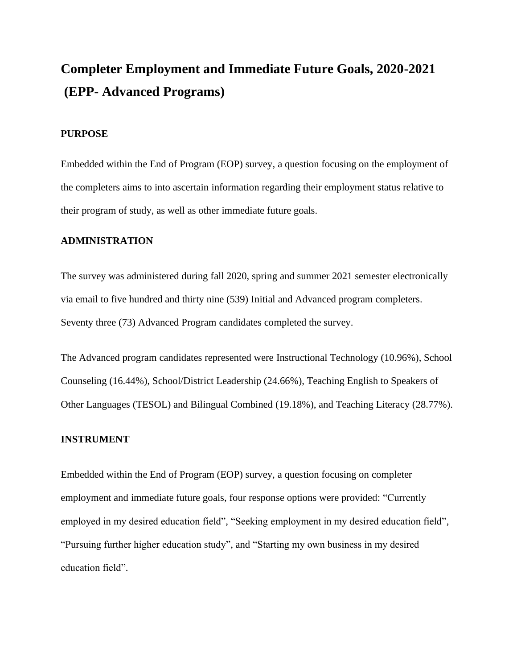# **Completer Employment and Immediate Future Goals, 2020-2021 (EPP- Advanced Programs)**

#### **PURPOSE**

Embedded within the End of Program (EOP) survey, a question focusing on the employment of the completers aims to into ascertain information regarding their employment status relative to their program of study, as well as other immediate future goals.

## **ADMINISTRATION**

The survey was administered during fall 2020, spring and summer 2021 semester electronically via email to five hundred and thirty nine (539) Initial and Advanced program completers. Seventy three (73) Advanced Program candidates completed the survey.

The Advanced program candidates represented were Instructional Technology (10.96%), School Counseling (16.44%), School/District Leadership (24.66%), Teaching English to Speakers of Other Languages (TESOL) and Bilingual Combined (19.18%), and Teaching Literacy (28.77%).

#### **INSTRUMENT**

Embedded within the End of Program (EOP) survey, a question focusing on completer employment and immediate future goals, four response options were provided: "Currently employed in my desired education field", "Seeking employment in my desired education field", "Pursuing further higher education study", and "Starting my own business in my desired education field".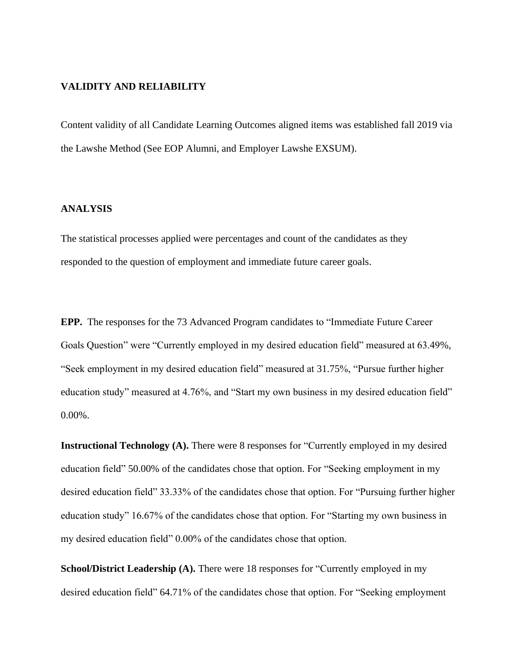#### **VALIDITY AND RELIABILITY**

Content validity of all Candidate Learning Outcomes aligned items was established fall 2019 via the Lawshe Method (See EOP Alumni, and Employer Lawshe EXSUM).

### **ANALYSIS**

The statistical processes applied were percentages and count of the candidates as they responded to the question of employment and immediate future career goals.

**EPP.** The responses for the 73 Advanced Program candidates to "Immediate Future Career Goals Question" were "Currently employed in my desired education field" measured at 63.49%, "Seek employment in my desired education field" measured at 31.75%, "Pursue further higher education study" measured at 4.76%, and "Start my own business in my desired education field" 0.00%.

**Instructional Technology (A).** There were 8 responses for "Currently employed in my desired education field" 50.00% of the candidates chose that option. For "Seeking employment in my desired education field" 33.33% of the candidates chose that option. For "Pursuing further higher education study" 16.67% of the candidates chose that option. For "Starting my own business in my desired education field" 0.00% of the candidates chose that option.

**School/District Leadership (A).** There were 18 responses for "Currently employed in my desired education field" 64.71% of the candidates chose that option. For "Seeking employment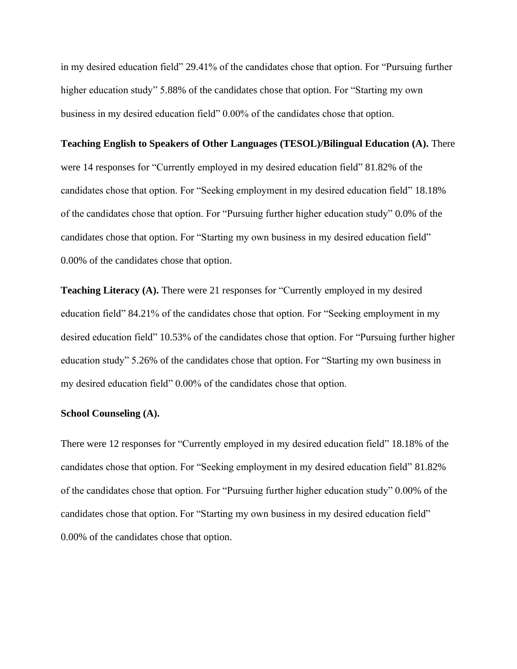in my desired education field" 29.41% of the candidates chose that option. For "Pursuing further higher education study" 5.88% of the candidates chose that option. For "Starting my own business in my desired education field" 0.00% of the candidates chose that option.

#### **Teaching English to Speakers of Other Languages (TESOL)/Bilingual Education (A).** There

were 14 responses for "Currently employed in my desired education field" 81.82% of the candidates chose that option. For "Seeking employment in my desired education field" 18.18% of the candidates chose that option. For "Pursuing further higher education study" 0.0% of the candidates chose that option. For "Starting my own business in my desired education field" 0.00% of the candidates chose that option.

**Teaching Literacy (A).** There were 21 responses for "Currently employed in my desired education field" 84.21% of the candidates chose that option. For "Seeking employment in my desired education field" 10.53% of the candidates chose that option. For "Pursuing further higher education study" 5.26% of the candidates chose that option. For "Starting my own business in my desired education field" 0.00% of the candidates chose that option.

#### **School Counseling (A).**

There were 12 responses for "Currently employed in my desired education field" 18.18% of the candidates chose that option. For "Seeking employment in my desired education field" 81.82% of the candidates chose that option. For "Pursuing further higher education study" 0.00% of the candidates chose that option. For "Starting my own business in my desired education field" 0.00% of the candidates chose that option.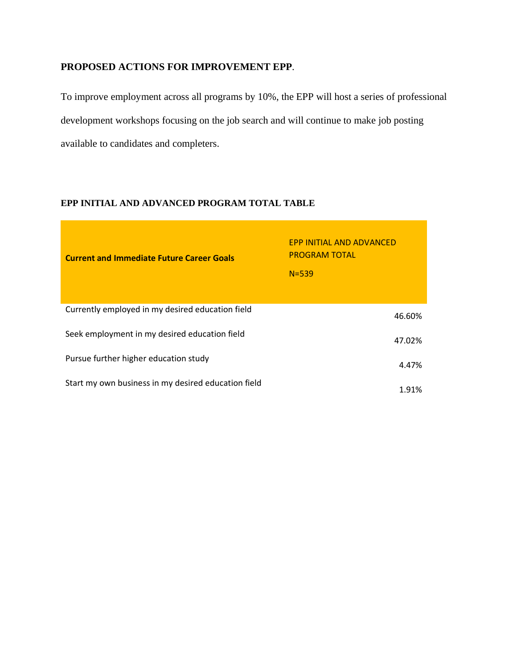# **PROPOSED ACTIONS FOR IMPROVEMENT EPP**.

To improve employment across all programs by 10%, the EPP will host a series of professional development workshops focusing on the job search and will continue to make job posting available to candidates and completers.

## **EPP INITIAL AND ADVANCED PROGRAM TOTAL TABLE**

| <b>Current and Immediate Future Career Goals</b>    | EPP INITIAL AND ADVANCED<br><b>PROGRAM TOTAL</b><br>$N = 539$ |
|-----------------------------------------------------|---------------------------------------------------------------|
| Currently employed in my desired education field    | 46.60%                                                        |
| Seek employment in my desired education field       | 47.02%                                                        |
| Pursue further higher education study               | 4.47%                                                         |
| Start my own business in my desired education field | 1.91%                                                         |